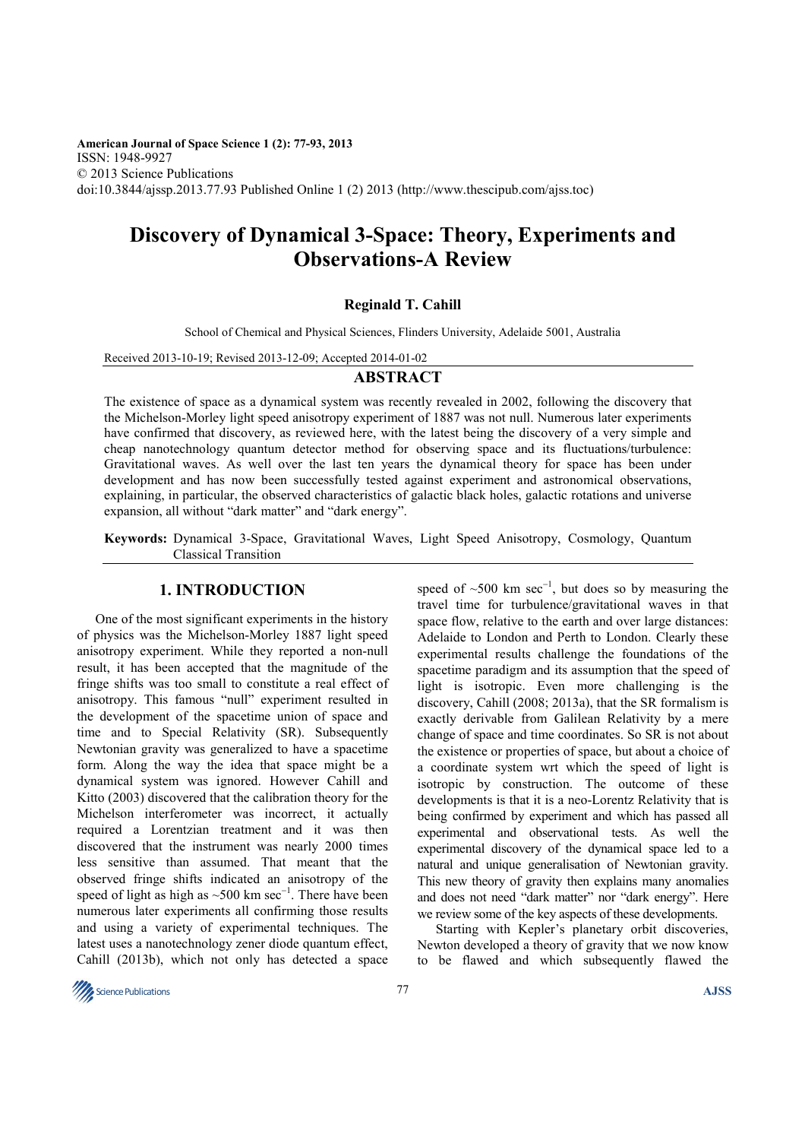**American Journal of Space Science 1 (2): 77-93, 2013**  ISSN: 1948-9927 © 2013 Science Publications doi:10.3844/ajssp.2013.77.93 Published Online 1 (2) 2013 (http://www.thescipub.com/ajss.toc)

# **Discovery of Dynamical 3-Space: Theory, Experiments and Observations-A Review**

#### **Reginald T. Cahill**

School of Chemical and Physical Sciences, Flinders University, Adelaide 5001, Australia

Received 2013-10-19; Revised 2013-12-09; Accepted 2014-01-02

#### **ABSTRACT**

The existence of space as a dynamical system was recently revealed in 2002, following the discovery that the Michelson-Morley light speed anisotropy experiment of 1887 was not null. Numerous later experiments have confirmed that discovery, as reviewed here, with the latest being the discovery of a very simple and cheap nanotechnology quantum detector method for observing space and its fluctuations/turbulence: Gravitational waves. As well over the last ten years the dynamical theory for space has been under development and has now been successfully tested against experiment and astronomical observations, explaining, in particular, the observed characteristics of galactic black holes, galactic rotations and universe expansion, all without "dark matter" and "dark energy".

**Keywords:** Dynamical 3-Space, Gravitational Waves, Light Speed Anisotropy, Cosmology, Quantum Classical Transition

## **1. INTRODUCTION**

One of the most significant experiments in the history of physics was the Michelson-Morley 1887 light speed anisotropy experiment. While they reported a non-null result, it has been accepted that the magnitude of the fringe shifts was too small to constitute a real effect of anisotropy. This famous "null" experiment resulted in the development of the spacetime union of space and time and to Special Relativity (SR). Subsequently Newtonian gravity was generalized to have a spacetime form. Along the way the idea that space might be a dynamical system was ignored. However Cahill and Kitto (2003) discovered that the calibration theory for the Michelson interferometer was incorrect, it actually required a Lorentzian treatment and it was then discovered that the instrument was nearly 2000 times less sensitive than assumed. That meant that the observed fringe shifts indicated an anisotropy of the speed of light as high as ~500 km sec<sup>-1</sup>. There have been numerous later experiments all confirming those results and using a variety of experimental techniques. The latest uses a nanotechnology zener diode quantum effect, Cahill (2013b), which not only has detected a space

speed of  $\sim$ 500 km sec<sup>-1</sup>, but does so by measuring the travel time for turbulence/gravitational waves in that space flow, relative to the earth and over large distances: Adelaide to London and Perth to London. Clearly these experimental results challenge the foundations of the spacetime paradigm and its assumption that the speed of light is isotropic. Even more challenging is the discovery, Cahill (2008; 2013a), that the SR formalism is exactly derivable from Galilean Relativity by a mere change of space and time coordinates. So SR is not about the existence or properties of space, but about a choice of a coordinate system wrt which the speed of light is isotropic by construction. The outcome of these developments is that it is a neo-Lorentz Relativity that is being confirmed by experiment and which has passed all experimental and observational tests. As well the experimental discovery of the dynamical space led to a natural and unique generalisation of Newtonian gravity. This new theory of gravity then explains many anomalies and does not need "dark matter" nor "dark energy". Here we review some of the key aspects of these developments.

Starting with Kepler's planetary orbit discoveries, Newton developed a theory of gravity that we now know to be flawed and which subsequently flawed the

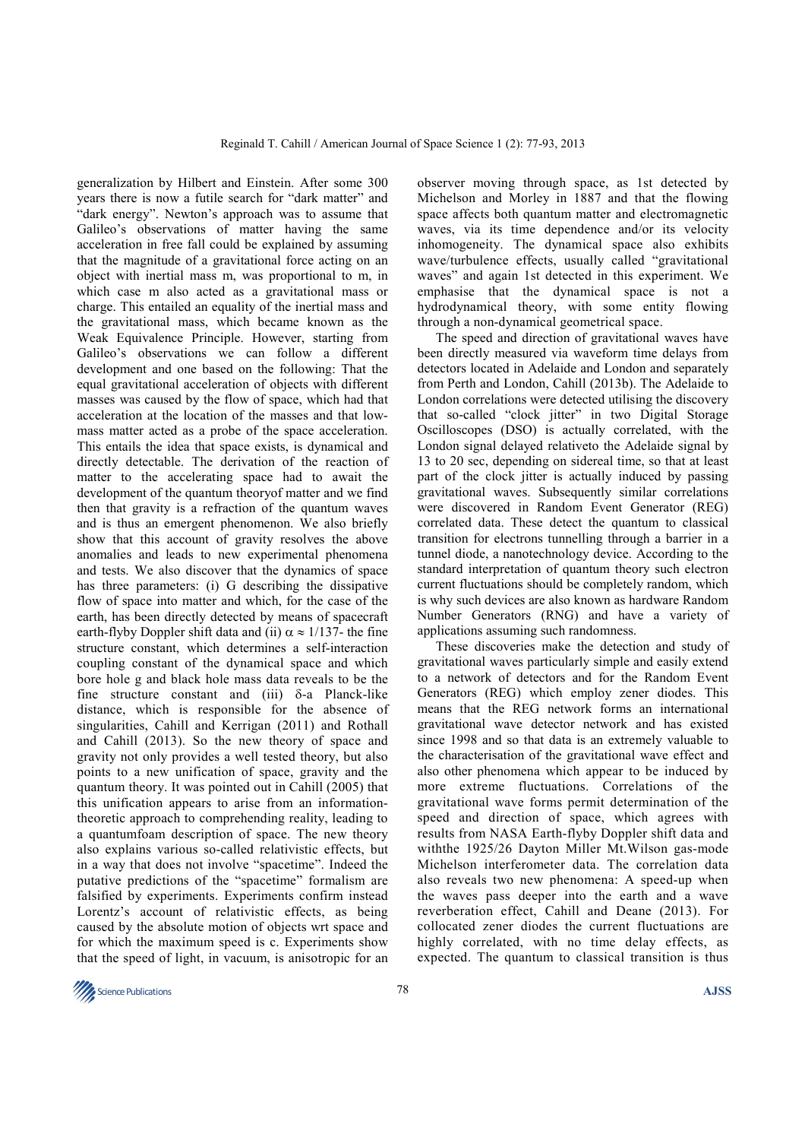generalization by Hilbert and Einstein. After some 300 years there is now a futile search for "dark matter" and "dark energy". Newton's approach was to assume that Galileo's observations of matter having the same acceleration in free fall could be explained by assuming that the magnitude of a gravitational force acting on an object with inertial mass m, was proportional to m, in which case m also acted as a gravitational mass or charge. This entailed an equality of the inertial mass and the gravitational mass, which became known as the Weak Equivalence Principle. However, starting from Galileo's observations we can follow a different development and one based on the following: That the equal gravitational acceleration of objects with different masses was caused by the flow of space, which had that acceleration at the location of the masses and that lowmass matter acted as a probe of the space acceleration. This entails the idea that space exists, is dynamical and directly detectable. The derivation of the reaction of matter to the accelerating space had to await the development of the quantum theoryof matter and we find then that gravity is a refraction of the quantum waves and is thus an emergent phenomenon. We also briefly show that this account of gravity resolves the above anomalies and leads to new experimental phenomena and tests. We also discover that the dynamics of space has three parameters: (i) G describing the dissipative flow of space into matter and which, for the case of the earth, has been directly detected by means of spacecraft earth-flyby Doppler shift data and (ii)  $\alpha \approx 1/137$ - the fine structure constant, which determines a self-interaction coupling constant of the dynamical space and which bore hole g and black hole mass data reveals to be the fine structure constant and (iii)  $\delta$ -a Planck-like distance, which is responsible for the absence of singularities, Cahill and Kerrigan (2011) and Rothall and Cahill (2013). So the new theory of space and gravity not only provides a well tested theory, but also points to a new unification of space, gravity and the quantum theory. It was pointed out in Cahill (2005) that this unification appears to arise from an informationtheoretic approach to comprehending reality, leading to a quantumfoam description of space. The new theory also explains various so-called relativistic effects, but in a way that does not involve "spacetime". Indeed the putative predictions of the "spacetime" formalism are falsified by experiments. Experiments confirm instead Lorentz's account of relativistic effects, as being caused by the absolute motion of objects wrt space and for which the maximum speed is c. Experiments show that the speed of light, in vacuum, is anisotropic for an

observer moving through space, as 1st detected by Michelson and Morley in 1887 and that the flowing space affects both quantum matter and electromagnetic waves, via its time dependence and/or its velocity inhomogeneity. The dynamical space also exhibits wave/turbulence effects, usually called "gravitational waves" and again 1st detected in this experiment. We emphasise that the dynamical space is not a hydrodynamical theory, with some entity flowing through a non-dynamical geometrical space.

The speed and direction of gravitational waves have been directly measured via waveform time delays from detectors located in Adelaide and London and separately from Perth and London, Cahill (2013b). The Adelaide to London correlations were detected utilising the discovery that so-called "clock jitter" in two Digital Storage Oscilloscopes (DSO) is actually correlated, with the London signal delayed relativeto the Adelaide signal by 13 to 20 sec, depending on sidereal time, so that at least part of the clock jitter is actually induced by passing gravitational waves. Subsequently similar correlations were discovered in Random Event Generator (REG) correlated data. These detect the quantum to classical transition for electrons tunnelling through a barrier in a tunnel diode, a nanotechnology device. According to the standard interpretation of quantum theory such electron current fluctuations should be completely random, which is why such devices are also known as hardware Random Number Generators (RNG) and have a variety of applications assuming such randomness.

These discoveries make the detection and study of gravitational waves particularly simple and easily extend to a network of detectors and for the Random Event Generators (REG) which employ zener diodes. This means that the REG network forms an international gravitational wave detector network and has existed since 1998 and so that data is an extremely valuable to the characterisation of the gravitational wave effect and also other phenomena which appear to be induced by more extreme fluctuations. Correlations of the gravitational wave forms permit determination of the speed and direction of space, which agrees with results from NASA Earth-flyby Doppler shift data and withthe 1925/26 Dayton Miller Mt.Wilson gas-mode Michelson interferometer data. The correlation data also reveals two new phenomena: A speed-up when the waves pass deeper into the earth and a wave reverberation effect, Cahill and Deane (2013). For collocated zener diodes the current fluctuations are highly correlated, with no time delay effects, as expected. The quantum to classical transition is thus

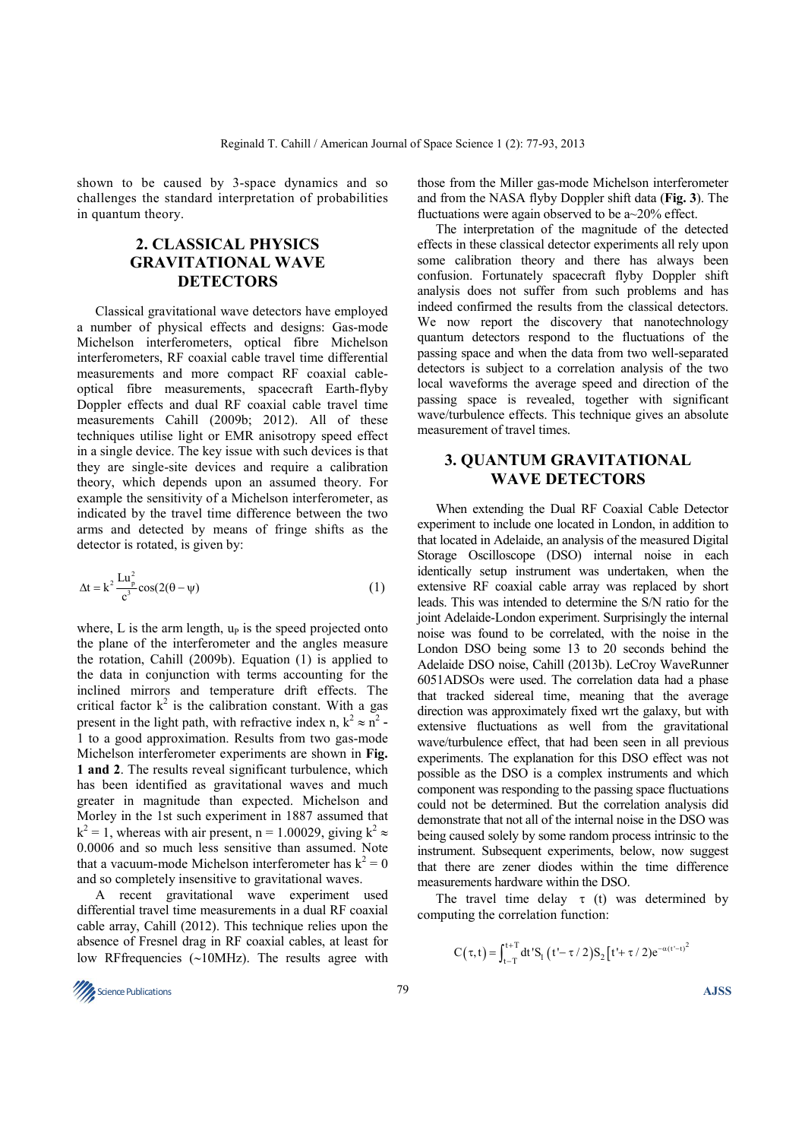shown to be caused by 3-space dynamics and so challenges the standard interpretation of probabilities in quantum theory.

## **2. CLASSICAL PHYSICS GRAVITATIONAL WAVE DETECTORS**

Classical gravitational wave detectors have employed a number of physical effects and designs: Gas-mode Michelson interferometers, optical fibre Michelson interferometers, RF coaxial cable travel time differential measurements and more compact RF coaxial cableoptical fibre measurements, spacecraft Earth-flyby Doppler effects and dual RF coaxial cable travel time measurements Cahill (2009b; 2012). All of these techniques utilise light or EMR anisotropy speed effect in a single device. The key issue with such devices is that they are single-site devices and require a calibration theory, which depends upon an assumed theory. For example the sensitivity of a Michelson interferometer, as indicated by the travel time difference between the two arms and detected by means of fringe shifts as the detector is rotated, is given by:

$$
\Delta t = k^2 \frac{L u_p^2}{c^3} \cos(2(\theta - \psi))
$$
 (1)

where, L is the arm length,  $u_p$  is the speed projected onto the plane of the interferometer and the angles measure the rotation, Cahill (2009b). Equation (1) is applied to the data in conjunction with terms accounting for the inclined mirrors and temperature drift effects. The critical factor  $k^2$  is the calibration constant. With a gas present in the light path, with refractive index n,  $k^2 \approx n^2$ . 1 to a good approximation. Results from two gas-mode Michelson interferometer experiments are shown in **Fig. 1 and 2**. The results reveal significant turbulence, which has been identified as gravitational waves and much greater in magnitude than expected. Michelson and Morley in the 1st such experiment in 1887 assumed that  $k^2 = 1$ , whereas with air present, n = 1.00029, giving  $k^2 \approx$ 0.0006 and so much less sensitive than assumed. Note that a vacuum-mode Michelson interferometer has  $k^2 = 0$ and so completely insensitive to gravitational waves.

A recent gravitational wave experiment used differential travel time measurements in a dual RF coaxial cable array, Cahill (2012). This technique relies upon the absence of Fresnel drag in RF coaxial cables, at least for low RFfrequencies (∼10MHz). The results agree with

those from the Miller gas-mode Michelson interferometer and from the NASA flyby Doppler shift data (**Fig. 3**). The fluctuations were again observed to be  $a \sim 20\%$  effect.

The interpretation of the magnitude of the detected effects in these classical detector experiments all rely upon some calibration theory and there has always been confusion. Fortunately spacecraft flyby Doppler shift analysis does not suffer from such problems and has indeed confirmed the results from the classical detectors. We now report the discovery that nanotechnology quantum detectors respond to the fluctuations of the passing space and when the data from two well-separated detectors is subject to a correlation analysis of the two local waveforms the average speed and direction of the passing space is revealed, together with significant wave/turbulence effects. This technique gives an absolute measurement of travel times.

### **3. QUANTUM GRAVITATIONAL WAVE DETECTORS**

When extending the Dual RF Coaxial Cable Detector experiment to include one located in London, in addition to that located in Adelaide, an analysis of the measured Digital Storage Oscilloscope (DSO) internal noise in each identically setup instrument was undertaken, when the extensive RF coaxial cable array was replaced by short leads. This was intended to determine the S/N ratio for the joint Adelaide-London experiment. Surprisingly the internal noise was found to be correlated, with the noise in the London DSO being some 13 to 20 seconds behind the Adelaide DSO noise, Cahill (2013b). LeCroy WaveRunner 6051ADSOs were used. The correlation data had a phase that tracked sidereal time, meaning that the average direction was approximately fixed wrt the galaxy, but with extensive fluctuations as well from the gravitational wave/turbulence effect, that had been seen in all previous experiments. The explanation for this DSO effect was not possible as the DSO is a complex instruments and which component was responding to the passing space fluctuations could not be determined. But the correlation analysis did demonstrate that not all of the internal noise in the DSO was being caused solely by some random process intrinsic to the instrument. Subsequent experiments, below, now suggest that there are zener diodes within the time difference measurements hardware within the DSO.

The travel time delay  $\tau$  (t) was determined by computing the correlation function:

$$
C\big(\tau,t\big) \!=\! \int_{t-T}^{t+T} \! dt' S_l \, \big(\,t'-\tau \,/\, 2\big) S_2 \big[\,t' \!+\tau \,/\, 2\big) e^{-\alpha \left(t'-t\right)^2}
$$

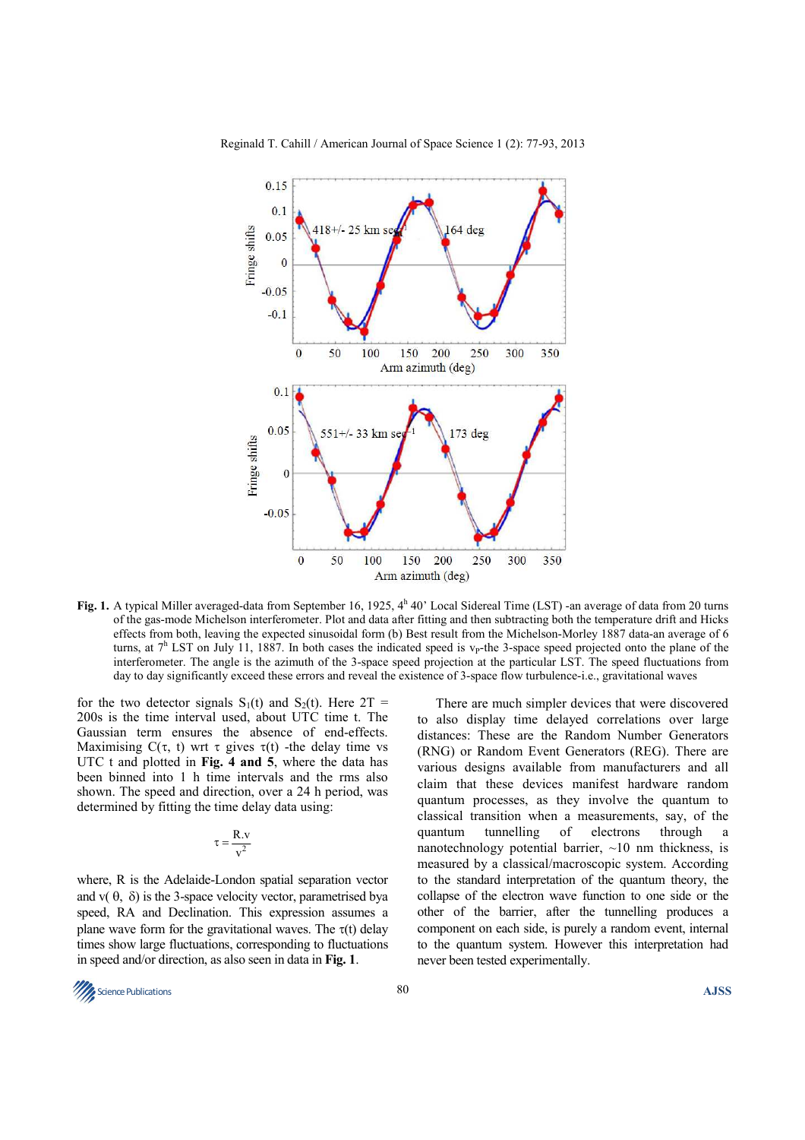

Fig. 1. A typical Miller averaged-data from September 16, 1925, 4<sup>h</sup> 40' Local Sidereal Time (LST) -an average of data from 20 turns of the gas-mode Michelson interferometer. Plot and data after fitting and then subtracting both the temperature drift and Hicks effects from both, leaving the expected sinusoidal form (b) Best result from the Michelson-Morley 1887 data-an average of 6 turns, at  $7<sup>h</sup>$  LST on July 11, 1887. In both cases the indicated speed is v<sub>P</sub>-the 3-space speed projected onto the plane of the interferometer. The angle is the azimuth of the 3-space speed projection at the particular LST. The speed fluctuations from day to day significantly exceed these errors and reveal the existence of 3-space flow turbulence-i.e., gravitational waves

for the two detector signals  $S_1(t)$  and  $S_2(t)$ . Here  $2T =$ 200s is the time interval used, about UTC time t. The Gaussian term ensures the absence of end-effects. Maximising  $C(\tau, t)$  wrt  $\tau$  gives  $\tau(t)$  -the delay time vs UTC t and plotted in **Fig. 4 and 5**, where the data has been binned into 1 h time intervals and the rms also shown. The speed and direction, over a 24 h period, was determined by fitting the time delay data using:

$$
\tau=\frac{R.v}{v^2}
$$

where, R is the Adelaide-London spatial separation vector and  $v(\theta, \delta)$  is the 3-space velocity vector, parametrised bya speed, RA and Declination. This expression assumes a plane wave form for the gravitational waves. The  $\tau(t)$  delay times show large fluctuations, corresponding to fluctuations in speed and/or direction, as also seen in data in **Fig. 1**.

There are much simpler devices that were discovered to also display time delayed correlations over large distances: These are the Random Number Generators (RNG) or Random Event Generators (REG). There are various designs available from manufacturers and all claim that these devices manifest hardware random quantum processes, as they involve the quantum to classical transition when a measurements, say, of the quantum tunnelling of electrons through a nanotechnology potential barrier,  $\sim$ 10 nm thickness, is measured by a classical/macroscopic system. According to the standard interpretation of the quantum theory, the collapse of the electron wave function to one side or the other of the barrier, after the tunnelling produces a component on each side, is purely a random event, internal to the quantum system. However this interpretation had never been tested experimentally.

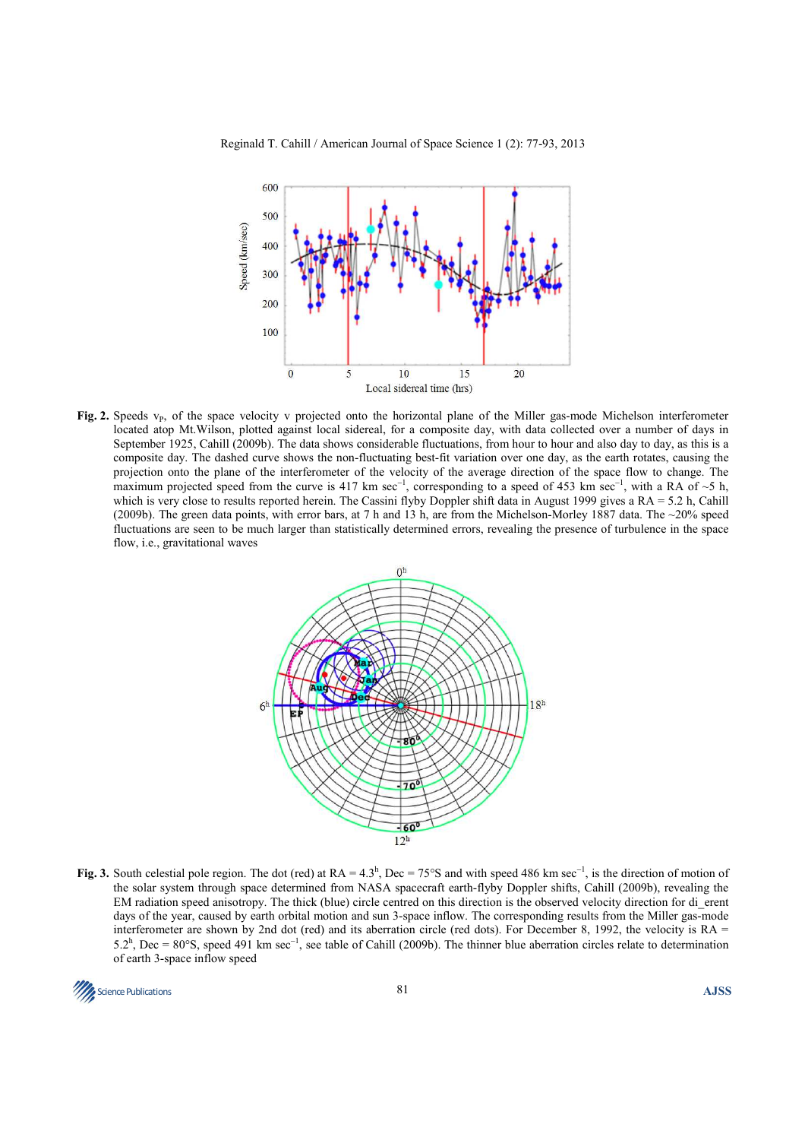

Fig. 2. Speeds v<sub>P</sub>, of the space velocity v projected onto the horizontal plane of the Miller gas-mode Michelson interferometer located atop Mt.Wilson, plotted against local sidereal, for a composite day, with data collected over a number of days in September 1925, Cahill (2009b). The data shows considerable fluctuations, from hour to hour and also day to day, as this is a composite day. The dashed curve shows the non-fluctuating best-fit variation over one day, as the earth rotates, causing the projection onto the plane of the interferometer of the velocity of the average direction of the space flow to change. The maximum projected speed from the curve is 417 km sec<sup>-1</sup>, corresponding to a speed of 453 km sec<sup>-1</sup>, with a RA of ~5 h, which is very close to results reported herein. The Cassini flyby Doppler shift data in August 1999 gives a RA = 5.2 h, Cahill (2009b). The green data points, with error bars, at 7 h and 13 h, are from the Michelson-Morley 1887 data. The ~20% speed fluctuations are seen to be much larger than statistically determined errors, revealing the presence of turbulence in the space flow, i.e., gravitational waves



Fig. 3. South celestial pole region. The dot (red) at RA = 4.3<sup>h</sup>, Dec = 75°S and with speed 486 km sec<sup>-1</sup>, is the direction of motion of the solar system through space determined from NASA spacecraft earth-flyby Doppler shifts, Cahill (2009b), revealing the EM radiation speed anisotropy. The thick (blue) circle centred on this direction is the observed velocity direction for di\_erent days of the year, caused by earth orbital motion and sun 3-space inflow. The corresponding results from the Miller gas-mode interferometer are shown by 2nd dot (red) and its aberration circle (red dots). For December 8, 1992, the velocity is  $RA =$ 5.2<sup>h</sup>, Dec = 80°S, speed 491 km sec<sup>-1</sup>, see table of Cahill (2009b). The thinner blue aberration circles relate to determination of earth 3-space inflow speed

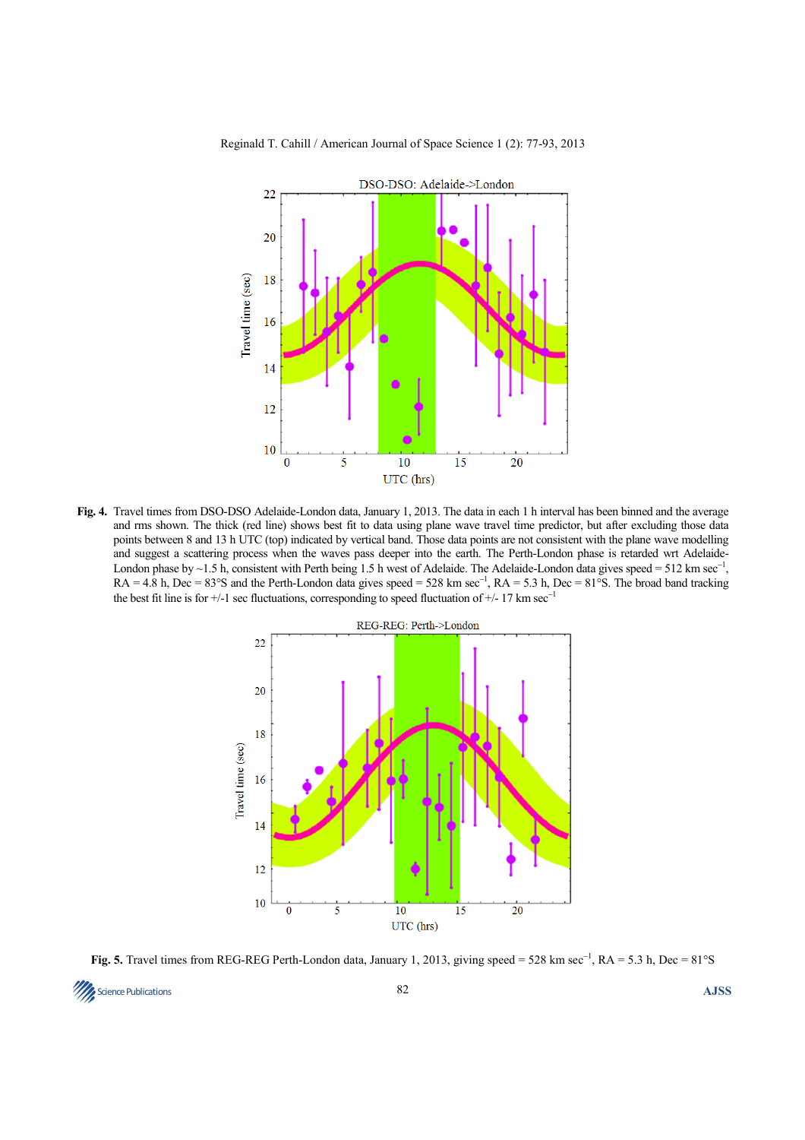

**Fig. 4.** Travel times from DSO-DSO Adelaide-London data, January 1, 2013. The data in each 1 h interval has been binned and the average and rms shown. The thick (red line) shows best fit to data using plane wave travel time predictor, but after excluding those data points between 8 and 13 h UTC (top) indicated by vertical band. Those data points are not consistent with the plane wave modelling and suggest a scattering process when the waves pass deeper into the earth. The Perth-London phase is retarded wrt Adelaide-London phase by ~1.5 h, consistent with Perth being 1.5 h west of Adelaide. The Adelaide-London data gives speed = 512 km sec<sup>-1</sup>,  $RA = 4.8$  h, Dec = 83°S and the Perth-London data gives speed = 528 km sec<sup>-1</sup>,  $RA = 5.3$  h, Dec = 81°S. The broad band tracking the best fit line is for +/-1 sec fluctuations, corresponding to speed fluctuation of +/- 17 km sec<sup>−</sup><sup>1</sup>



**Fig. 5.** Travel times from REG-REG Perth-London data, January 1, 2013, giving speed = 528 km sec<sup>-1</sup>, RA = 5.3 h, Dec = 81°S

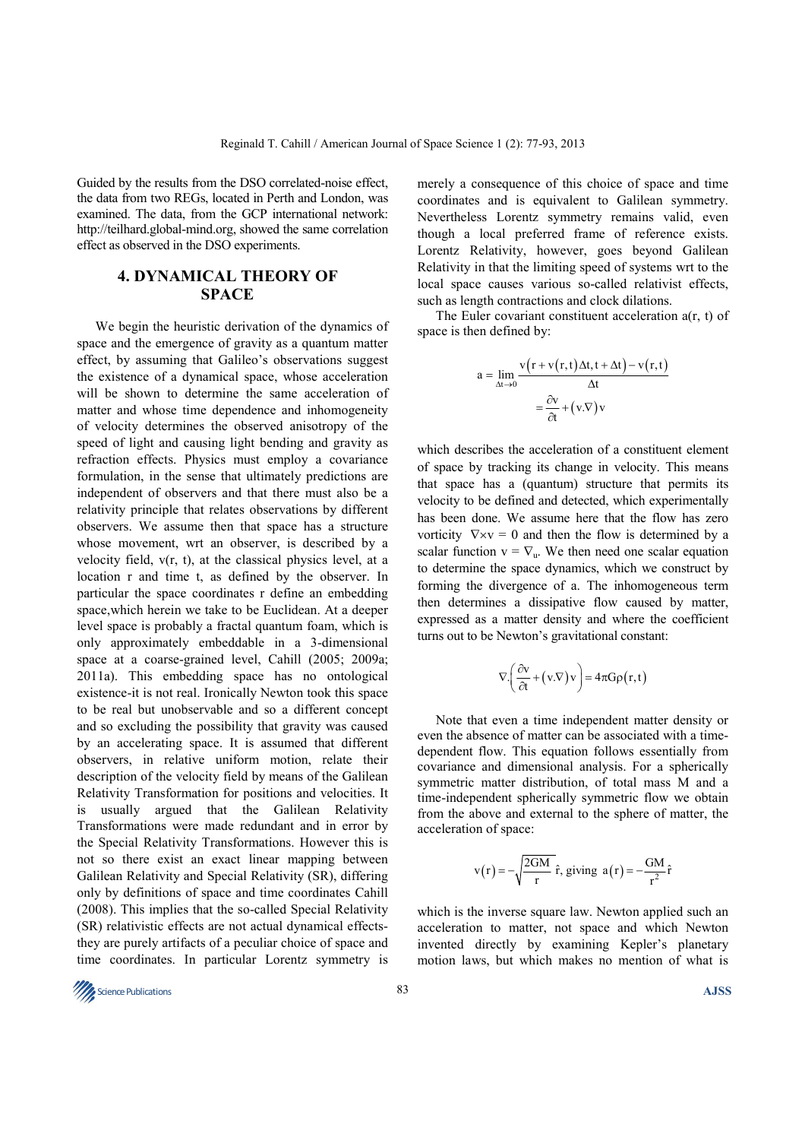Guided by the results from the DSO correlated-noise effect, the data from two REGs, located in Perth and London, was examined. The data, from the GCP international network: http://teilhard.global-mind.org, showed the same correlation effect as observed in the DSO experiments.

## **4. DYNAMICAL THEORY OF SPACE**

We begin the heuristic derivation of the dynamics of space and the emergence of gravity as a quantum matter effect, by assuming that Galileo's observations suggest the existence of a dynamical space, whose acceleration will be shown to determine the same acceleration of matter and whose time dependence and inhomogeneity of velocity determines the observed anisotropy of the speed of light and causing light bending and gravity as refraction effects. Physics must employ a covariance formulation, in the sense that ultimately predictions are independent of observers and that there must also be a relativity principle that relates observations by different observers. We assume then that space has a structure whose movement, wrt an observer, is described by a velocity field, v(r, t), at the classical physics level, at a location r and time t, as defined by the observer. In particular the space coordinates r define an embedding space,which herein we take to be Euclidean. At a deeper level space is probably a fractal quantum foam, which is only approximately embeddable in a 3-dimensional space at a coarse-grained level, Cahill (2005; 2009a; 2011a). This embedding space has no ontological existence-it is not real. Ironically Newton took this space to be real but unobservable and so a different concept and so excluding the possibility that gravity was caused by an accelerating space. It is assumed that different observers, in relative uniform motion, relate their description of the velocity field by means of the Galilean Relativity Transformation for positions and velocities. It is usually argued that the Galilean Relativity Transformations were made redundant and in error by the Special Relativity Transformations. However this is not so there exist an exact linear mapping between Galilean Relativity and Special Relativity (SR), differing only by definitions of space and time coordinates Cahill (2008). This implies that the so-called Special Relativity (SR) relativistic effects are not actual dynamical effectsthey are purely artifacts of a peculiar choice of space and time coordinates. In particular Lorentz symmetry is

merely a consequence of this choice of space and time coordinates and is equivalent to Galilean symmetry. Nevertheless Lorentz symmetry remains valid, even though a local preferred frame of reference exists. Lorentz Relativity, however, goes beyond Galilean Relativity in that the limiting speed of systems wrt to the local space causes various so-called relativist effects, such as length contractions and clock dilations.

The Euler covariant constituent acceleration a(r, t) of space is then defined by:

$$
a = \lim_{\Delta t \to 0} \frac{v(r + v(r, t)\Delta t, t + \Delta t) - v(r, t)}{\Delta t}
$$

$$
= \frac{\partial v}{\partial t} + (v.\nabla)v
$$

which describes the acceleration of a constituent element of space by tracking its change in velocity. This means that space has a (quantum) structure that permits its velocity to be defined and detected, which experimentally has been done. We assume here that the flow has zero vorticity  $\nabla \times v = 0$  and then the flow is determined by a scalar function  $v = \nabla_u$ . We then need one scalar equation to determine the space dynamics, which we construct by forming the divergence of a. The inhomogeneous term then determines a dissipative flow caused by matter, expressed as a matter density and where the coefficient turns out to be Newton's gravitational constant:

$$
\nabla \cdot \left( \frac{\partial v}{\partial t} + (v \cdot \nabla) v \right) = 4\pi G \rho(r, t)
$$

Note that even a time independent matter density or even the absence of matter can be associated with a timedependent flow. This equation follows essentially from covariance and dimensional analysis. For a spherically symmetric matter distribution, of total mass M and a time-independent spherically symmetric flow we obtain from the above and external to the sphere of matter, the acceleration of space:

$$
v(r) = -\sqrt{\frac{2GM}{r}} \hat{r}
$$
, giving  $a(r) = -\frac{GM}{r^2} \hat{r}$ 

which is the inverse square law. Newton applied such an acceleration to matter, not space and which Newton invented directly by examining Kepler's planetary motion laws, but which makes no mention of what is

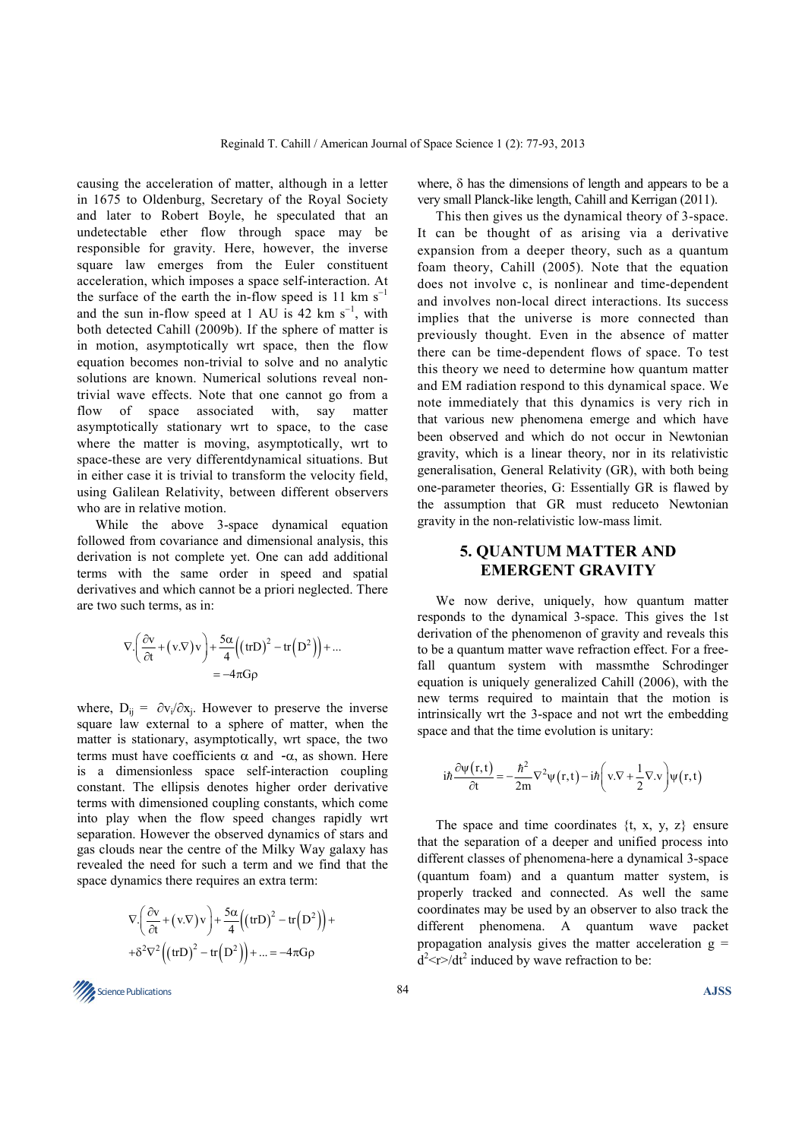causing the acceleration of matter, although in a letter in 1675 to Oldenburg, Secretary of the Royal Society and later to Robert Boyle, he speculated that an undetectable ether flow through space may be responsible for gravity. Here, however, the inverse square law emerges from the Euler constituent acceleration, which imposes a space self-interaction. At the surface of the earth the in-flow speed is 11 km  $s^{-1}$ and the sun in-flow speed at 1 AU is 42 km  $s^{-1}$ , with both detected Cahill (2009b). If the sphere of matter is in motion, asymptotically wrt space, then the flow equation becomes non-trivial to solve and no analytic solutions are known. Numerical solutions reveal nontrivial wave effects. Note that one cannot go from a flow of space associated with, say matter asymptotically stationary wrt to space, to the case where the matter is moving, asymptotically, wrt to space-these are very differentdynamical situations. But in either case it is trivial to transform the velocity field, using Galilean Relativity, between different observers who are in relative motion.

While the above 3-space dynamical equation followed from covariance and dimensional analysis, this derivation is not complete yet. One can add additional terms with the same order in speed and spatial derivatives and which cannot be a priori neglected. There are two such terms, as in:

$$
\nabla \cdot \left( \frac{\partial v}{\partial t} + (v \cdot \nabla) v \right) + \frac{5\alpha}{4} \left( (\text{tr} D)^2 - \text{tr} (D^2) \right) + \dots
$$
  
= -4\pi G \rho

where,  $D_{ij} = \partial v_i / \partial x_j$ . However to preserve the inverse square law external to a sphere of matter, when the matter is stationary, asymptotically, wrt space, the two terms must have coefficients  $\alpha$  and  $-\alpha$ , as shown. Here is a dimensionless space self-interaction coupling constant. The ellipsis denotes higher order derivative terms with dimensioned coupling constants, which come into play when the flow speed changes rapidly wrt separation. However the observed dynamics of stars and gas clouds near the centre of the Milky Way galaxy has revealed the need for such a term and we find that the space dynamics there requires an extra term:

$$
\nabla \cdot \left( \frac{\partial v}{\partial t} + (v \cdot \nabla) v \right) + \frac{5\alpha}{4} \left( (\text{tr} D)^2 - \text{tr} (D^2) \right) + + \delta^2 \nabla^2 \left( (\text{tr} D)^2 - \text{tr} (D^2) \right) + \dots = -4\pi G \rho
$$

where,  $\delta$  has the dimensions of length and appears to be a very small Planck-like length, Cahill and Kerrigan (2011).

This then gives us the dynamical theory of 3-space. It can be thought of as arising via a derivative expansion from a deeper theory, such as a quantum foam theory, Cahill (2005). Note that the equation does not involve c, is nonlinear and time-dependent and involves non-local direct interactions. Its success implies that the universe is more connected than previously thought. Even in the absence of matter there can be time-dependent flows of space. To test this theory we need to determine how quantum matter and EM radiation respond to this dynamical space. We note immediately that this dynamics is very rich in that various new phenomena emerge and which have been observed and which do not occur in Newtonian gravity, which is a linear theory, nor in its relativistic generalisation, General Relativity (GR), with both being one-parameter theories, G: Essentially GR is flawed by the assumption that GR must reduceto Newtonian gravity in the non-relativistic low-mass limit.

## **5. QUANTUM MATTER AND EMERGENT GRAVITY**

We now derive, uniquely, how quantum matter responds to the dynamical 3-space. This gives the 1st derivation of the phenomenon of gravity and reveals this to be a quantum matter wave refraction effect. For a freefall quantum system with massmthe Schrodinger equation is uniquely generalized Cahill (2006), with the new terms required to maintain that the motion is intrinsically wrt the 3-space and not wrt the embedding space and that the time evolution is unitary:

$$
i\hbar \frac{\partial \psi(r,t)}{\partial t} = -\frac{\hbar^2}{2m} \nabla^2 \psi(r,t) - i\hbar \left(v.\nabla + \frac{1}{2} \nabla \cdot v\right) \psi(r,t)
$$

The space and time coordinates  $\{t, x, y, z\}$  ensure that the separation of a deeper and unified process into different classes of phenomena-here a dynamical 3-space (quantum foam) and a quantum matter system, is properly tracked and connected. As well the same coordinates may be used by an observer to also track the different phenomena. A quantum wave packet propagation analysis gives the matter acceleration  $g =$  $d^2$  <r>> $\ge$ / $dt^2$  induced by wave refraction to be:

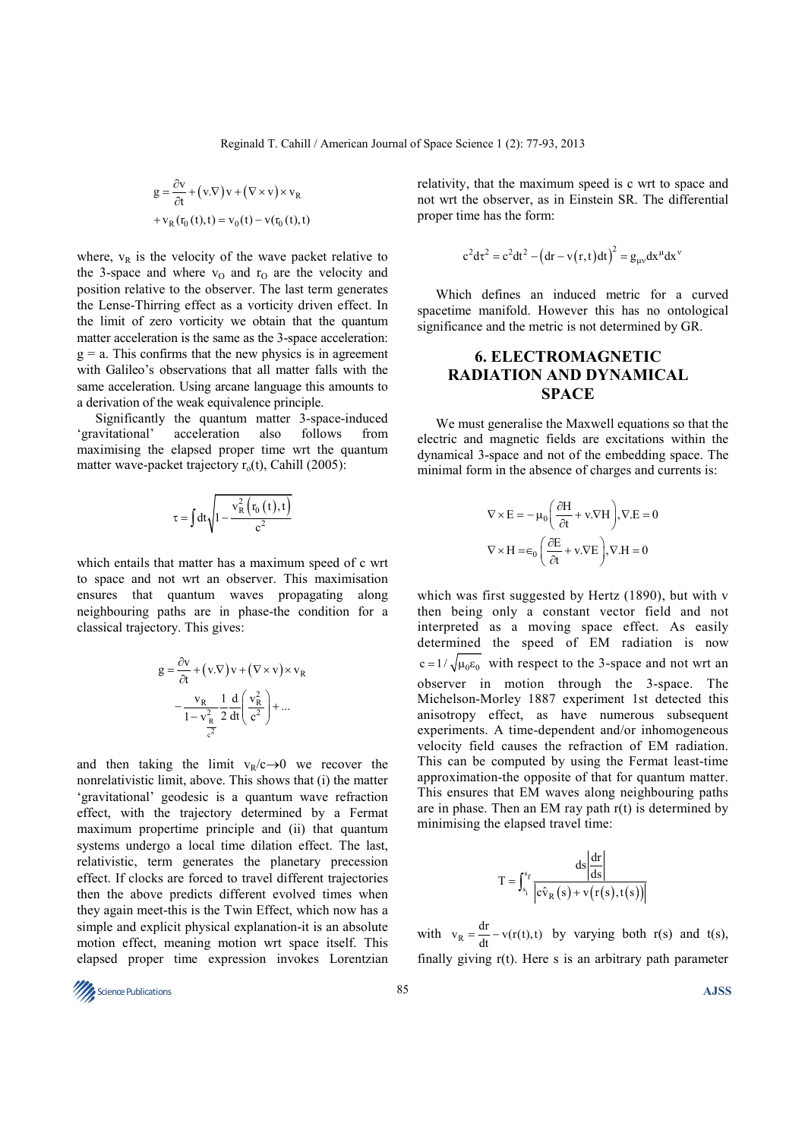$$
g = \frac{\partial v}{\partial t} + (v.\nabla)v + (\nabla \times v) \times v_R
$$
  
+ v<sub>R</sub> (r<sub>0</sub> (t), t) = v<sub>0</sub> (t) - v(r<sub>0</sub> (t), t)

where,  $v_R$  is the velocity of the wave packet relative to the 3-space and where  $v_0$  and  $r_0$  are the velocity and position relative to the observer. The last term generates the Lense-Thirring effect as a vorticity driven effect. In the limit of zero vorticity we obtain that the quantum matter acceleration is the same as the 3-space acceleration:  $g = a$ . This confirms that the new physics is in agreement with Galileo's observations that all matter falls with the same acceleration. Using arcane language this amounts to a derivation of the weak equivalence principle.

Significantly the quantum matter 3-space-induced 'gravitational' acceleration also follows from maximising the elapsed proper time wrt the quantum matter wave-packet trajectory  $r<sub>o</sub>(t)$ , Cahill (2005):

$$
\tau=\int dt\sqrt{1-\frac{v_{R}^{2}\left(r_{0}\left(t\right),t\right)}{c^{2}}}
$$

which entails that matter has a maximum speed of c wrt to space and not wrt an observer. This maximisation ensures that quantum waves propagating along neighbouring paths are in phase-the condition for a classical trajectory. This gives:

$$
g = \frac{\partial v}{\partial t} + (v.\nabla)v + (\nabla \times v) \times v_R
$$

$$
- \frac{v_R}{1 - v_R^2} \frac{1}{2} \frac{d}{dt} \left( \frac{v_R^2}{c^2} \right) + \dots
$$

and then taking the limit  $v_R/c \rightarrow 0$  we recover the nonrelativistic limit, above. This shows that (i) the matter 'gravitational' geodesic is a quantum wave refraction effect, with the trajectory determined by a Fermat maximum propertime principle and (ii) that quantum systems undergo a local time dilation effect. The last, relativistic, term generates the planetary precession effect. If clocks are forced to travel different trajectories then the above predicts different evolved times when they again meet-this is the Twin Effect, which now has a simple and explicit physical explanation-it is an absolute motion effect, meaning motion wrt space itself. This elapsed proper time expression invokes Lorentzian relativity, that the maximum speed is c wrt to space and not wrt the observer, as in Einstein SR. The differential proper time has the form:

$$
c^{2}dt^{2} = c^{2}dt^{2} - (dr - v(r, t)dt)^{2} = g_{\mu\nu}dx^{\mu}dx^{\nu}
$$

Which defines an induced metric for a curved spacetime manifold. However this has no ontological significance and the metric is not determined by GR.

# **6. ELECTROMAGNETIC RADIATION AND DYNAMICAL SPACE**

We must generalise the Maxwell equations so that the electric and magnetic fields are excitations within the dynamical 3-space and not of the embedding space. The minimal form in the absence of charges and currents is:

$$
\nabla \times \mathbf{E} = -\mu_0 \left( \frac{\partial \mathbf{H}}{\partial t} + \mathbf{v} . \nabla \mathbf{H} \right), \nabla . \mathbf{E} = 0
$$

$$
\nabla \times \mathbf{H} = \epsilon_0 \left( \frac{\partial \mathbf{E}}{\partial t} + \mathbf{v} . \nabla \mathbf{E} \right), \nabla . \mathbf{H} = 0
$$

which was first suggested by Hertz (1890), but with v then being only a constant vector field and not interpreted as a moving space effect. As easily determined the speed of EM radiation is now  $c = 1/\sqrt{\mu_0 \epsilon_0}$  with respect to the 3-space and not wrt an observer in motion through the 3-space. The Michelson-Morley 1887 experiment 1st detected this anisotropy effect, as have numerous subsequent experiments. A time-dependent and/or inhomogeneous velocity field causes the refraction of EM radiation. This can be computed by using the Fermat least-time approximation-the opposite of that for quantum matter. This ensures that EM waves along neighbouring paths are in phase. Then an EM ray path  $r(t)$  is determined by minimising the elapsed travel time:

$$
T = \int_{s_i}^{s_f} \frac{ds \left| \frac{dr}{ds} \right|}{\left| c\hat{v}_R \left( s \right) + v \left( r(s), t(s) \right) \right|}
$$

with  $v_R = \frac{dr}{dt} - v(r(t),t)$  by varying both r(s) and t(s), finally giving r(t). Here s is an arbitrary path parameter

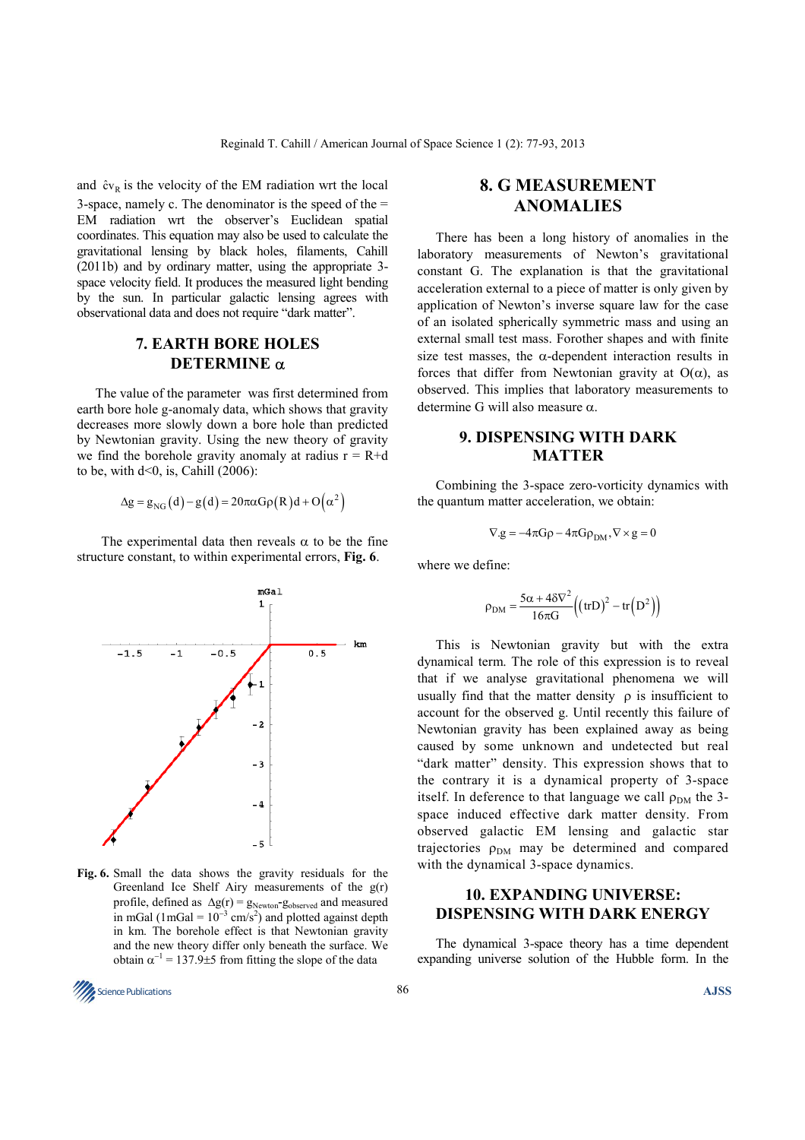and  $\hat{c}v_R$  is the velocity of the EM radiation wrt the local 3-space, namely c. The denominator is the speed of the  $=$ EM radiation wrt the observer's Euclidean spatial coordinates. This equation may also be used to calculate the gravitational lensing by black holes, filaments, Cahill (2011b) and by ordinary matter, using the appropriate 3 space velocity field. It produces the measured light bending by the sun. In particular galactic lensing agrees with observational data and does not require "dark matter".

### **7. EARTH BORE HOLES DETERMINE** α

The value of the parameter was first determined from earth bore hole g-anomaly data, which shows that gravity decreases more slowly down a bore hole than predicted by Newtonian gravity. Using the new theory of gravity we find the borehole gravity anomaly at radius  $r = R+d$ to be, with  $d<0$ , is, Cahill (2006):

$$
\Delta g = g_{NG}(d) - g(d) = 20\pi \alpha G \rho(R) d + O(\alpha^2)
$$

The experimental data then reveals  $\alpha$  to be the fine structure constant, to within experimental errors, **Fig. 6**.



**Fig. 6.** Small the data shows the gravity residuals for the Greenland Ice Shelf Airy measurements of the g(r) profile, defined as  $\Delta g(r) = g_{Newton} - g_{observed}$  and measured in mGal (1mGal =  $10^{-3}$  cm/s<sup>2</sup>) and plotted against depth in km. The borehole effect is that Newtonian gravity and the new theory differ only beneath the surface. We obtain  $\alpha^{-1} = 137.9 \pm 5$  from fitting the slope of the data

# **8. G MEASUREMENT ANOMALIES**

There has been a long history of anomalies in the laboratory measurements of Newton's gravitational constant G. The explanation is that the gravitational acceleration external to a piece of matter is only given by application of Newton's inverse square law for the case of an isolated spherically symmetric mass and using an external small test mass. Forother shapes and with finite size test masses, the  $\alpha$ -dependent interaction results in forces that differ from Newtonian gravity at  $O(\alpha)$ , as observed. This implies that laboratory measurements to determine G will also measure α.

## **9. DISPENSING WITH DARK MATTER**

Combining the 3-space zero-vorticity dynamics with the quantum matter acceleration, we obtain:

$$
\nabla.g = -4\pi G\rho - 4\pi G\rho_{DM}, \nabla \times g = 0
$$

where we define:

$$
\rho_{\rm DM} = \frac{5\alpha + 4\delta \nabla^2}{16\pi G} \Big( (\text{tr}D)^2 - \text{tr}\Big(D^2\Big) \Big)
$$

This is Newtonian gravity but with the extra dynamical term. The role of this expression is to reveal that if we analyse gravitational phenomena we will usually find that the matter density  $\rho$  is insufficient to account for the observed g. Until recently this failure of Newtonian gravity has been explained away as being caused by some unknown and undetected but real "dark matter" density. This expression shows that to the contrary it is a dynamical property of 3-space itself. In deference to that language we call  $\rho_{DM}$  the 3space induced effective dark matter density. From observed galactic EM lensing and galactic star trajectories  $\rho_{DM}$  may be determined and compared with the dynamical 3-space dynamics.

# **10. EXPANDING UNIVERSE: DISPENSING WITH DARK ENERGY**

The dynamical 3-space theory has a time dependent expanding universe solution of the Hubble form. In the

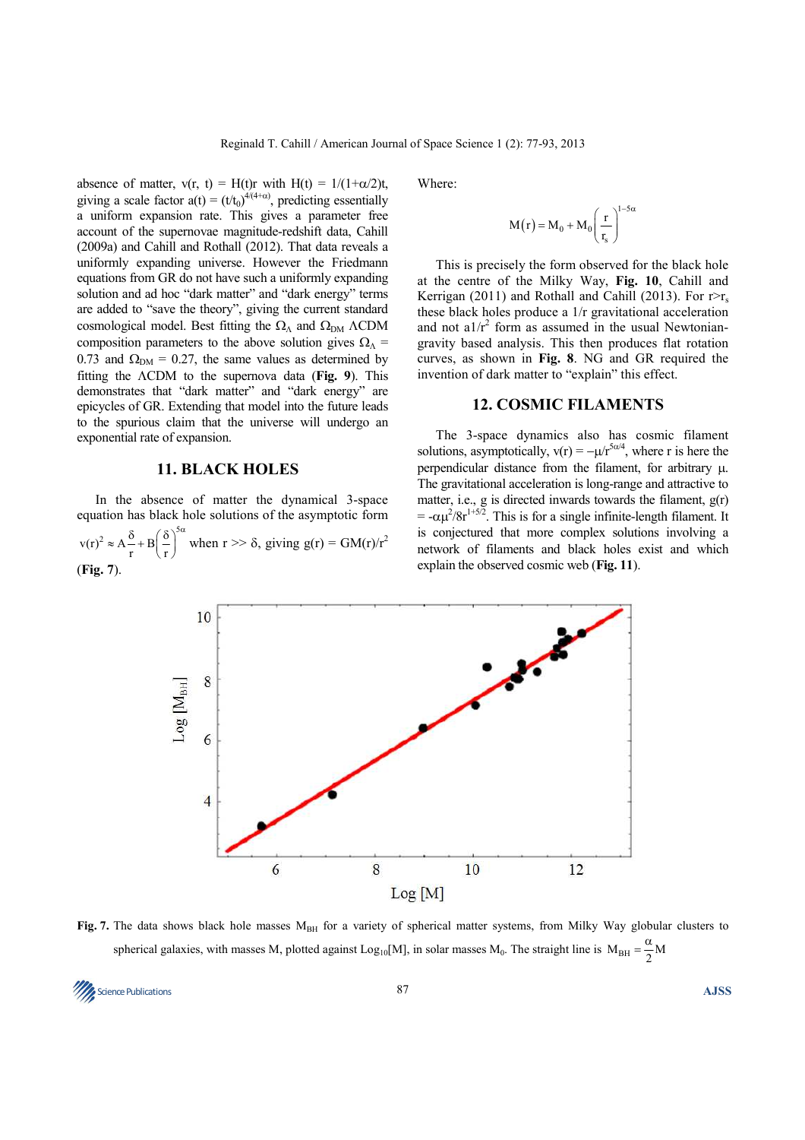absence of matter,  $v(r, t) = H(t)r$  with  $H(t) = 1/(1+\alpha/2)t$ , giving a scale factor  $a(t) = (t/t_0)^{4(4+\alpha)}$ , predicting essentially a uniform expansion rate. This gives a parameter free account of the supernovae magnitude-redshift data, Cahill (2009a) and Cahill and Rothall (2012). That data reveals a uniformly expanding universe. However the Friedmann equations from GR do not have such a uniformly expanding solution and ad hoc "dark matter" and "dark energy" terms are added to "save the theory", giving the current standard cosmological model. Best fitting the  $\Omega_{\Lambda}$  and  $\Omega_{\text{DM}}$   $\Lambda$ CDM composition parameters to the above solution gives  $\Omega_{\Lambda}$  = 0.73 and  $\Omega_{DM}$  = 0.27, the same values as determined by fitting the ΛCDM to the supernova data (**Fig. 9**). This demonstrates that "dark matter" and "dark energy" are epicycles of GR. Extending that model into the future leads to the spurious claim that the universe will undergo an exponential rate of expansion.

#### **11. BLACK HOLES**

In the absence of matter the dynamical 3-space equation has black hole solutions of the asymptotic form  $v(r)^2 \approx A \frac{\delta}{r} + B \left(\frac{\delta}{r}\right)^5$  $\approx A \frac{\delta}{r} + B \left( \frac{\delta}{r} \right)^{5\alpha}$  when  $r >> \delta$ , giving  $g(r) = GM(r)/r^2$ (**Fig. 7**).

Where:

$$
M\big(r\big)=M_0+M_0\Bigg(\frac{r}{r_s}\Bigg)^{\!1-5\alpha}
$$

This is precisely the form observed for the black hole at the centre of the Milky Way, **Fig. 10**, Cahill and Kerrigan (2011) and Rothall and Cahill (2013). For  $r > r_s$ these black holes produce a 1/r gravitational acceleration and not  $a1/r^2$  form as assumed in the usual Newtoniangravity based analysis. This then produces flat rotation curves, as shown in **Fig. 8**. NG and GR required the invention of dark matter to "explain" this effect.

#### **12. COSMIC FILAMENTS**

The 3-space dynamics also has cosmic filament solutions, asymptotically,  $v(r) = -\mu r^{5\alpha/4}$ , where r is here the perpendicular distance from the filament, for arbitrary µ. The gravitational acceleration is long-range and attractive to matter, i.e., g is directed inwards towards the filament, g(r)  $= -\alpha \mu^2/8r^{1+5/2}$ . This is for a single infinite-length filament. It is conjectured that more complex solutions involving a network of filaments and black holes exist and which explain the observed cosmic web (**Fig. 11**).



Fig. 7. The data shows black hole masses M<sub>BH</sub> for a variety of spherical matter systems, from Milky Way globular clusters to spherical galaxies, with masses M, plotted against Log<sub>10</sub>[M], in solar masses M<sub>0</sub>. The straight line is  $M_{BH} = \frac{\alpha}{2}M$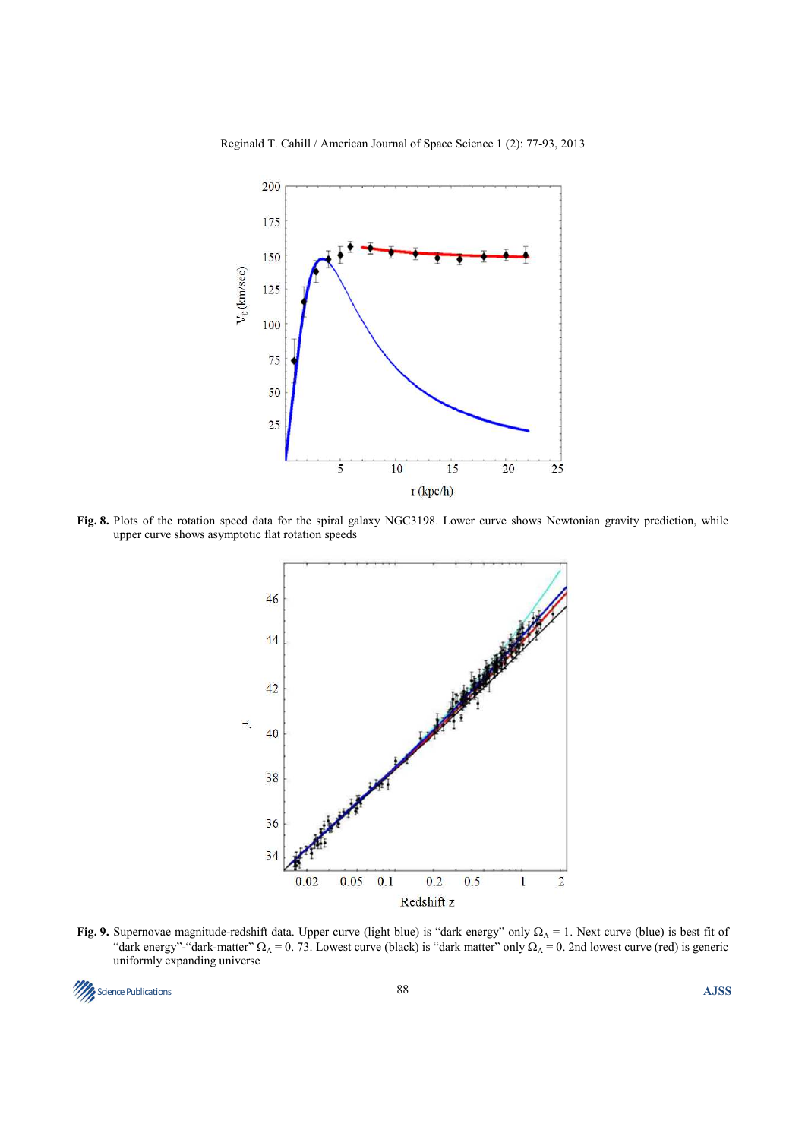

Reginald T. Cahill / American Journal of Space Science 1 (2): 77-93, 2013

**Fig. 8.** Plots of the rotation speed data for the spiral galaxy NGC3198. Lower curve shows Newtonian gravity prediction, while upper curve shows asymptotic flat rotation speeds



**Fig. 9.** Supernovae magnitude-redshift data. Upper curve (light blue) is "dark energy" only  $\Omega_{\Lambda} = 1$ . Next curve (blue) is best fit of "dark energy"-"dark-matter"  $\Omega_{\Lambda}$  = 0. 73. Lowest curve (black) is "dark matter" only  $\Omega_{\Lambda}$  = 0. 2nd lowest curve (red) is generic uniformly expanding universe

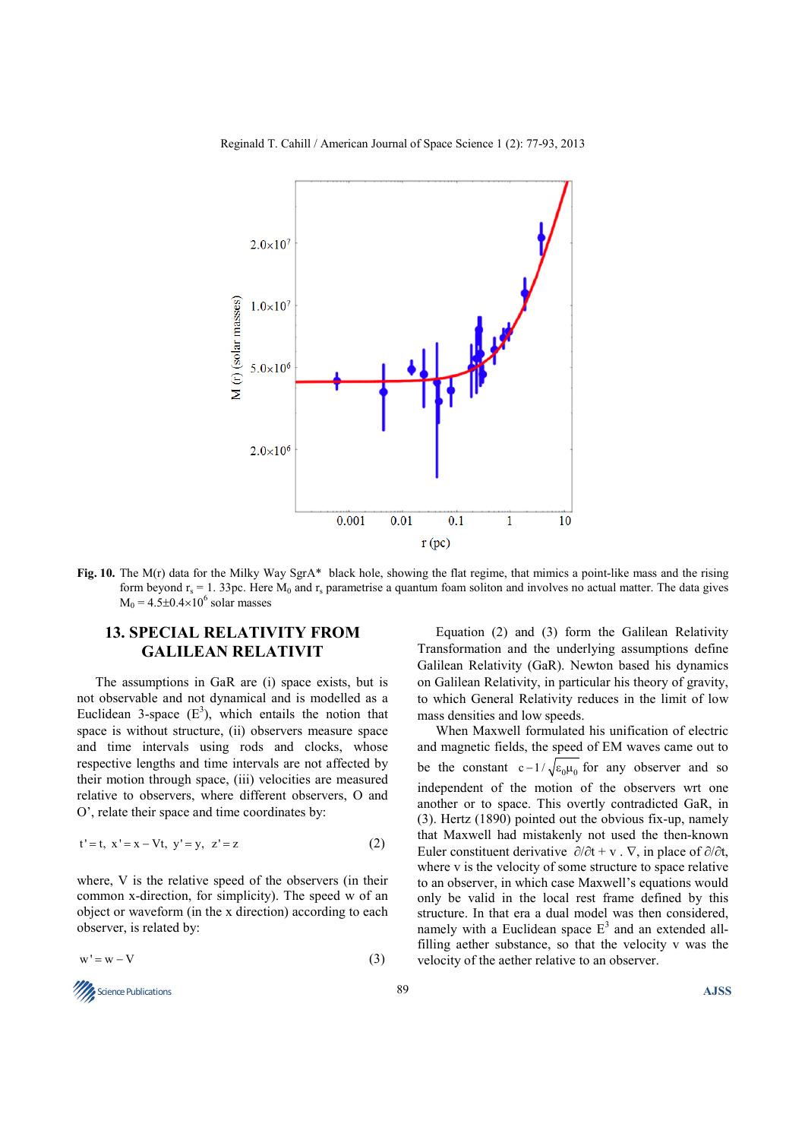

Reginald T. Cahill / American Journal of Space Science 1 (2): 77-93, 2013

**Fig. 10.** The M(r) data for the Milky Way SgrA\* black hole, showing the flat regime, that mimics a point-like mass and the rising form beyond  $r_s = 1$ . 33pc. Here  $M_0$  and  $r_s$  parametrise a quantum foam soliton and involves no actual matter. The data gives  $M_0 = 4.5 \pm 0.4 \times 10^6$  solar masses

# **13. SPECIAL RELATIVITY FROM GALILEAN RELATIVIT**

The assumptions in GaR are (i) space exists, but is not observable and not dynamical and is modelled as a Euclidean 3-space  $(E^3)$ , which entails the notion that space is without structure, (ii) observers measure space and time intervals using rods and clocks, whose respective lengths and time intervals are not affected by their motion through space, (iii) velocities are measured relative to observers, where different observers, O and O', relate their space and time coordinates by:

$$
t' = t, \ x' = x - Vt, \ y' = y, \ z' = z \tag{2}
$$

where, V is the relative speed of the observers (in their common x-direction, for simplicity). The speed w of an object or waveform (in the x direction) according to each observer, is related by:

$$
w' = w - V \tag{3}
$$

**Science Publications AJSS AJSS** 

Equation (2) and (3) form the Galilean Relativity Transformation and the underlying assumptions define Galilean Relativity (GaR). Newton based his dynamics on Galilean Relativity, in particular his theory of gravity, to which General Relativity reduces in the limit of low mass densities and low speeds.

When Maxwell formulated his unification of electric and magnetic fields, the speed of EM waves came out to be the constant  $c - 1 / \sqrt{\epsilon_0 \mu_0}$  for any observer and so independent of the motion of the observers wrt one another or to space. This overtly contradicted GaR, in (3). Hertz (1890) pointed out the obvious fix-up, namely that Maxwell had mistakenly not used the then-known Euler constituent derivative  $\partial/\partial t$  + v .  $\nabla$ , in place of  $\partial/\partial t$ , where v is the velocity of some structure to space relative to an observer, in which case Maxwell's equations would only be valid in the local rest frame defined by this structure. In that era a dual model was then considered, namely with a Euclidean space  $E<sup>3</sup>$  and an extended allfilling aether substance, so that the velocity v was the velocity of the aether relative to an observer.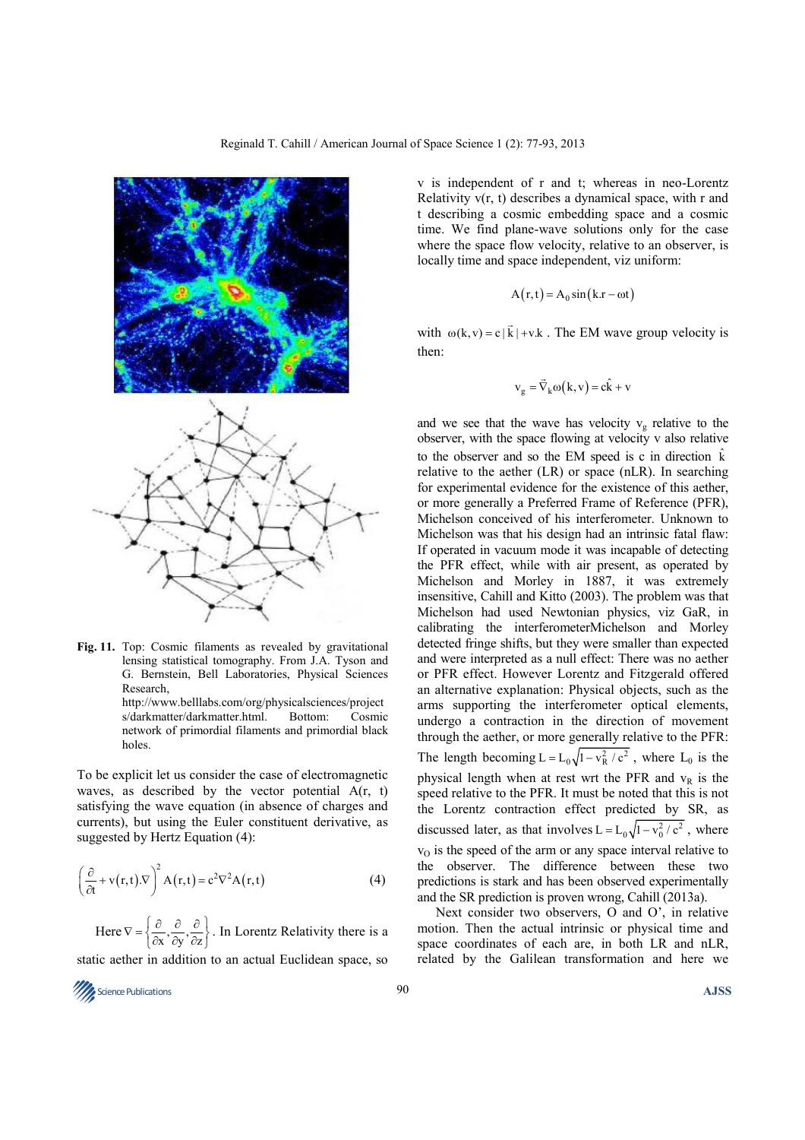

**Fig. 11.** Top: Cosmic filaments as revealed by gravitational lensing statistical tomography. From J.A. Tyson and G. Bernstein, Bell Laboratories, Physical Sciences Research,

http://www.belllabs.com/org/physicalsciences/project s/darkmatter/darkmatter.html. Bottom: Cosmic network of primordial filaments and primordial black holes.

To be explicit let us consider the case of electromagnetic waves, as described by the vector potential A(r, t) satisfying the wave equation (in absence of charges and currents), but using the Euler constituent derivative, as suggested by Hertz Equation (4):

$$
\left(\frac{\partial}{\partial t} + v(r, t).\nabla\right)^2 A(r, t) = c^2 \nabla^2 A(r, t)
$$
\n(4)

Here  $\nabla = \left\{ \frac{\partial}{\partial x}, \frac{\partial}{\partial y}, \frac{\partial}{\partial z} \right\}$ . In Lorentz Relativity there is a static aether in addition to an actual Euclidean space, so

v is independent of r and t; whereas in neo-Lorentz Relativity v(r, t) describes a dynamical space, with r and t describing a cosmic embedding space and a cosmic time. We find plane-wave solutions only for the case where the space flow velocity, relative to an observer, is locally time and space independent, viz uniform:

$$
A(r,t) = A_0 \sin(k \cdot r - \omega t)
$$

with  $\omega(k, v) = c |\vec{k}| + v.k$ r . The EM wave group velocity is then:

$$
v_g = \vec{\nabla}_k \omega(k, v) = c\hat{k} + v
$$

and we see that the wave has velocity  $v_g$  relative to the observer, with the space flowing at velocity v also relative to the observer and so the EM speed is c in direction  $\hat{k}$ relative to the aether (LR) or space (nLR). In searching for experimental evidence for the existence of this aether, or more generally a Preferred Frame of Reference (PFR), Michelson conceived of his interferometer. Unknown to Michelson was that his design had an intrinsic fatal flaw: If operated in vacuum mode it was incapable of detecting the PFR effect, while with air present, as operated by Michelson and Morley in 1887, it was extremely insensitive, Cahill and Kitto (2003). The problem was that Michelson had used Newtonian physics, viz GaR, in calibrating the interferometerMichelson and Morley detected fringe shifts, but they were smaller than expected and were interpreted as a null effect: There was no aether or PFR effect. However Lorentz and Fitzgerald offered an alternative explanation: Physical objects, such as the arms supporting the interferometer optical elements, undergo a contraction in the direction of movement through the aether, or more generally relative to the PFR: The length becoming  $L = L_0 \sqrt{1 - v_R^2/c^2}$ , where  $L_0$  is the physical length when at rest wrt the PFR and  $v<sub>R</sub>$  is the speed relative to the PFR. It must be noted that this is not the Lorentz contraction effect predicted by SR, as discussed later, as that involves  $L = L_0 \sqrt{1 - v_0^2/c^2}$ , where  $v<sub>O</sub>$  is the speed of the arm or any space interval relative to the observer. The difference between these two predictions is stark and has been observed experimentally and the SR prediction is proven wrong, Cahill (2013a).

Next consider two observers, O and O', in relative motion. Then the actual intrinsic or physical time and space coordinates of each are, in both LR and nLR, related by the Galilean transformation and here we



Reginald T. Cahill / American Journal of Space Science 1 (2): 77-93, 2013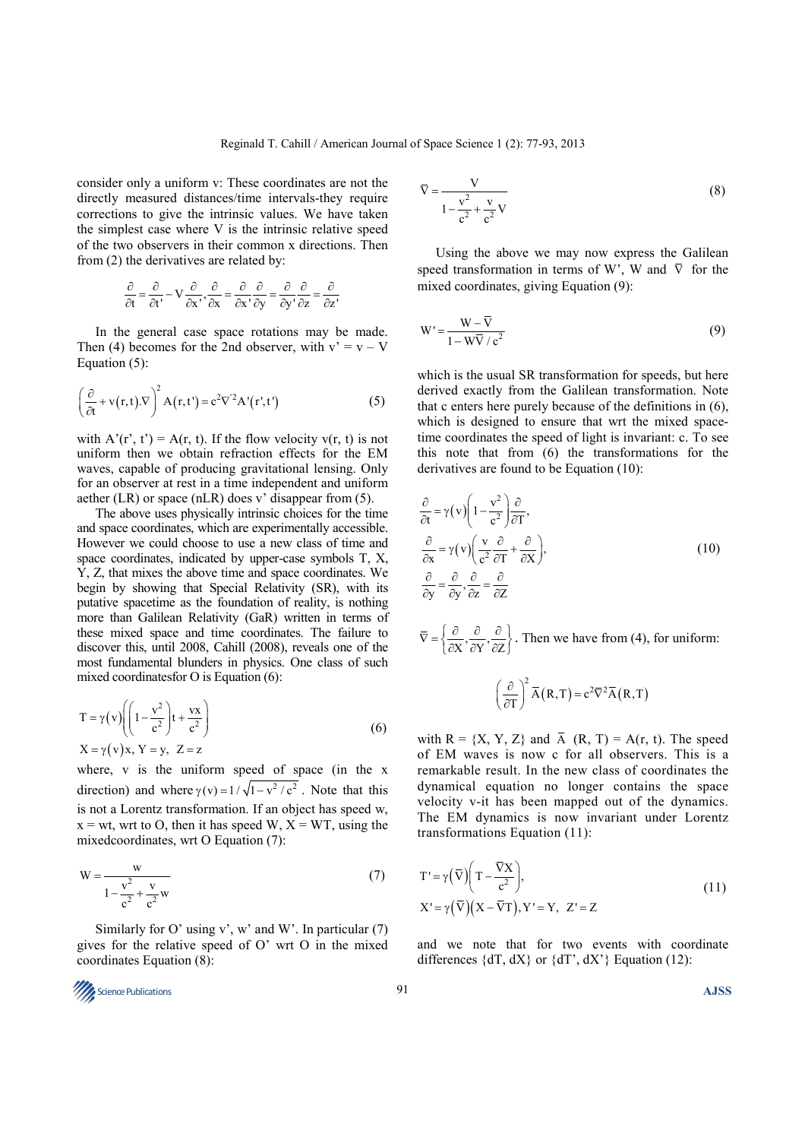consider only a uniform v: These coordinates are not the directly measured distances/time intervals-they require corrections to give the intrinsic values. We have taken the simplest case where V is the intrinsic relative speed of the two observers in their common x directions. Then from (2) the derivatives are related by:

$$
\frac{\partial}{\partial t} = \frac{\partial}{\partial t'} - V \frac{\partial}{\partial x'}, \frac{\partial}{\partial x} = \frac{\partial}{\partial x'}, \frac{\partial}{\partial y} = \frac{\partial}{\partial y'}, \frac{\partial}{\partial z} = \frac{\partial}{\partial z'}
$$

In the general case space rotations may be made. Then (4) becomes for the 2nd observer, with  $v' = v - V$ Equation (5):

$$
\left(\frac{\partial}{\partial t} + v(r, t).\nabla\right)^2 A(r, t') = c^2 \nabla^2 A'(r', t')
$$
\n(5)

with  $A'(r', t') = A(r, t)$ . If the flow velocity  $v(r, t)$  is not uniform then we obtain refraction effects for the EM waves, capable of producing gravitational lensing. Only for an observer at rest in a time independent and uniform aether (LR) or space (nLR) does v' disappear from (5).

The above uses physically intrinsic choices for the time and space coordinates, which are experimentally accessible. However we could choose to use a new class of time and space coordinates, indicated by upper-case symbols T, X, Y, Z, that mixes the above time and space coordinates. We begin by showing that Special Relativity (SR), with its putative spacetime as the foundation of reality, is nothing more than Galilean Relativity (GaR) written in terms of these mixed space and time coordinates. The failure to discover this, until 2008, Cahill (2008), reveals one of the most fundamental blunders in physics. One class of such mixed coordinatesfor O is Equation (6):

$$
T = \gamma(v) \left( \left( 1 - \frac{v^2}{c^2} \right) t + \frac{vx}{c^2} \right)
$$
  

$$
X = \gamma(v)x, Y = y, Z = z
$$
 (6)

where, v is the uniform speed of space (in the x direction) and where  $\gamma(y) = 1/\sqrt{1 - y^2/c^2}$ . Note that this is not a Lorentz transformation. If an object has speed w,  $x = wt$ , wrt to O, then it has speed W,  $X = WT$ , using the mixedcoordinates, wrt O Equation (7):

$$
W = \frac{w}{1 - \frac{v^2}{c^2} + \frac{v}{c^2}w}
$$
 (7)

Similarly for O' using v', w' and W'. In particular  $(7)$ gives for the relative speed of O' wrt O in the mixed coordinates Equation (8):

$$
\frac{\text{M}}{\text{M}}\text{ Science Publications} \tag{AJSS}
$$

$$
\overline{V} = \frac{V}{1 - \frac{v^2}{c^2} + \frac{v}{c^2}V}
$$
 (8)

Using the above we may now express the Galilean speed transformation in terms of W'. W and  $\overline{V}$  for the mixed coordinates, giving Equation (9):

$$
W' = \frac{W - \overline{V}}{1 - W\overline{V}/c^2}
$$
 (9)

which is the usual SR transformation for speeds, but here derived exactly from the Galilean transformation. Note that c enters here purely because of the definitions in (6), which is designed to ensure that wrt the mixed spacetime coordinates the speed of light is invariant: c. To see this note that from (6) the transformations for the derivatives are found to be Equation (10):

$$
\frac{\partial}{\partial t} = \gamma(v) \left( 1 - \frac{v^2}{c^2} \right) \frac{\partial}{\partial T}, \n\frac{\partial}{\partial x} = \gamma(v) \left( \frac{v}{c^2} \frac{\partial}{\partial T} + \frac{\partial}{\partial X} \right), \n\frac{\partial}{\partial y} = \frac{\partial}{\partial y}, \frac{\partial}{\partial z} = \frac{\partial}{\partial z}
$$
\n(10)

 $\overline{\nabla} = \left\{ \frac{\partial}{\partial X}, \frac{\partial}{\partial Y}, \frac{\partial}{\partial Z} \right\}.$  Then we have from (4), for uniform:

$$
\left(\frac{\partial}{\partial T}\right)^2 \overline{A}(R,T) = c^2 \overline{\nabla}^2 \overline{A}(R,T)
$$

with  $R = \{X, Y, Z\}$  and  $\overline{A}(R, T) = A(r, t)$ . The speed of EM waves is now c for all observers. This is a remarkable result. In the new class of coordinates the dynamical equation no longer contains the space velocity v-it has been mapped out of the dynamics. The EM dynamics is now invariant under Lorentz transformations Equation (11):

$$
T' = \gamma \left(\overline{V}\right) \left(T - \frac{\overline{V}X}{c^2}\right),
$$
  
\n
$$
X' = \gamma \left(\overline{V}\right) \left(X - \overline{V}T\right), Y' = Y, Z' = Z
$$
\n(11)

and we note that for two events with coordinate differences  $\{dT, dX\}$  or  $\{dT, dX'\}$  Equation (12):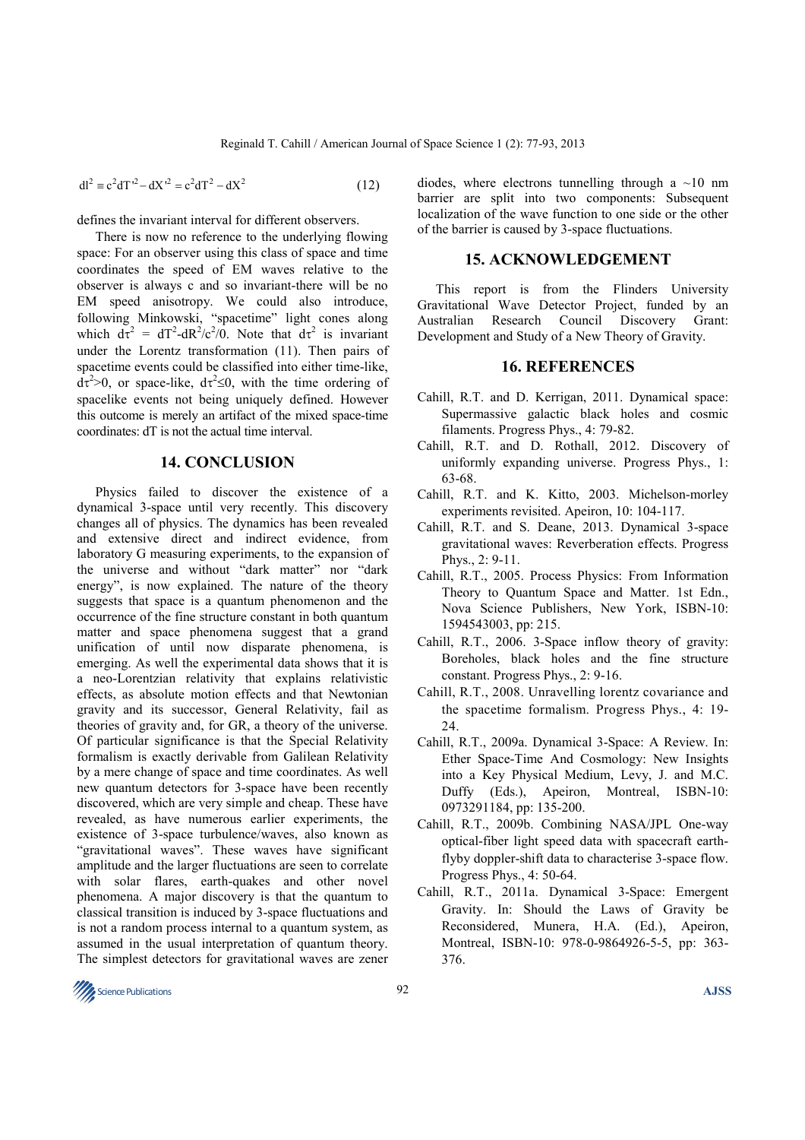$$
dl^{2} \equiv c^{2} dT^{2} - dX'^{2} = c^{2} dT^{2} - dX^{2}
$$
 (12)

defines the invariant interval for different observers.

There is now no reference to the underlying flowing space: For an observer using this class of space and time coordinates the speed of EM waves relative to the observer is always c and so invariant-there will be no EM speed anisotropy. We could also introduce, following Minkowski, "spacetime" light cones along which  $d\tau^2 = dT^2-dR^2/c^2/0$ . Note that  $d\tau^2$  is invariant under the Lorentz transformation (11). Then pairs of spacetime events could be classified into either time-like,  $d\tau^2 > 0$ , or space-like,  $d\tau^2 \le 0$ , with the time ordering of spacelike events not being uniquely defined. However this outcome is merely an artifact of the mixed space-time coordinates: dT is not the actual time interval.

#### **14. CONCLUSION**

Physics failed to discover the existence of a dynamical 3-space until very recently. This discovery changes all of physics. The dynamics has been revealed and extensive direct and indirect evidence, from laboratory G measuring experiments, to the expansion of the universe and without "dark matter" nor "dark energy", is now explained. The nature of the theory suggests that space is a quantum phenomenon and the occurrence of the fine structure constant in both quantum matter and space phenomena suggest that a grand unification of until now disparate phenomena, is emerging. As well the experimental data shows that it is a neo-Lorentzian relativity that explains relativistic effects, as absolute motion effects and that Newtonian gravity and its successor, General Relativity, fail as theories of gravity and, for GR, a theory of the universe. Of particular significance is that the Special Relativity formalism is exactly derivable from Galilean Relativity by a mere change of space and time coordinates. As well new quantum detectors for 3-space have been recently discovered, which are very simple and cheap. These have revealed, as have numerous earlier experiments, the existence of 3-space turbulence/waves, also known as "gravitational waves". These waves have significant amplitude and the larger fluctuations are seen to correlate with solar flares, earth-quakes and other novel phenomena. A major discovery is that the quantum to classical transition is induced by 3-space fluctuations and is not a random process internal to a quantum system, as assumed in the usual interpretation of quantum theory. The simplest detectors for gravitational waves are zener

diodes, where electrons tunnelling through a  $\sim$ 10 nm barrier are split into two components: Subsequent localization of the wave function to one side or the other of the barrier is caused by 3-space fluctuations.

#### **15. ACKNOWLEDGEMENT**

This report is from the Flinders University Gravitational Wave Detector Project, funded by an Australian Research Council Discovery Grant: Australian Research Council Development and Study of a New Theory of Gravity.

#### **16. REFERENCES**

- Cahill, R.T. and D. Kerrigan, 2011. Dynamical space: Supermassive galactic black holes and cosmic filaments. Progress Phys., 4: 79-82.
- Cahill, R.T. and D. Rothall, 2012. Discovery of uniformly expanding universe. Progress Phys., 1: 63-68.
- Cahill, R.T. and K. Kitto, 2003. Michelson-morley experiments revisited. Apeiron, 10: 104-117.
- Cahill, R.T. and S. Deane, 2013. Dynamical 3-space gravitational waves: Reverberation effects. Progress Phys., 2: 9-11.
- Cahill, R.T., 2005. Process Physics: From Information Theory to Quantum Space and Matter. 1st Edn., Nova Science Publishers, New York, ISBN-10: 1594543003, pp: 215.
- Cahill, R.T., 2006. 3-Space inflow theory of gravity: Boreholes, black holes and the fine structure constant. Progress Phys., 2: 9-16.
- Cahill, R.T., 2008. Unravelling lorentz covariance and the spacetime formalism. Progress Phys., 4: 19- 24.
- Cahill, R.T., 2009a. Dynamical 3-Space: A Review. In: Ether Space-Time And Cosmology: New Insights into a Key Physical Medium, Levy, J. and M.C. Duffy (Eds.), Apeiron, Montreal, ISBN-10: 0973291184, pp: 135-200.
- Cahill, R.T., 2009b. Combining NASA/JPL One-way optical-fiber light speed data with spacecraft earthflyby doppler-shift data to characterise 3-space flow. Progress Phys., 4: 50-64.
- Cahill, R.T., 2011a. Dynamical 3-Space: Emergent Gravity. In: Should the Laws of Gravity be Reconsidered, Munera, H.A. (Ed.), Apeiron, Montreal, ISBN-10: 978-0-9864926-5-5, pp: 363- 376.